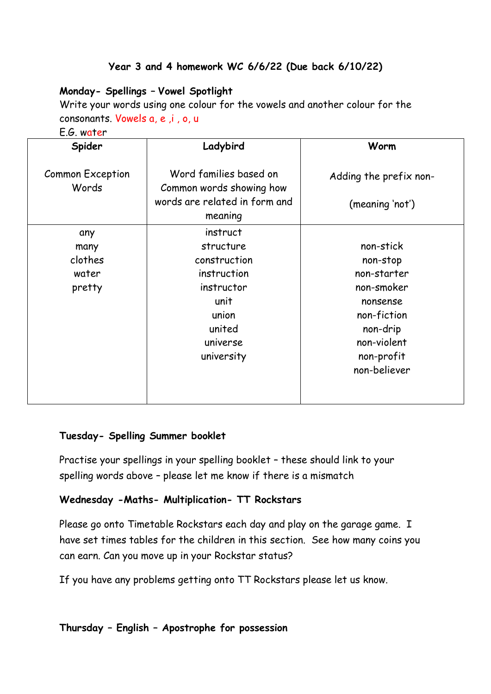# **Year 3 and 4 homework WC 6/6/22 (Due back 6/10/22)**

# **Monday- Spellings – Vowel Spotlight**

Write your words using one colour for the vowels and another colour for the consonants. Vowels a, e ,i , o, u

E.G. water

| Spider                           | Ladybird                                                                                       | Worm                                      |
|----------------------------------|------------------------------------------------------------------------------------------------|-------------------------------------------|
| <b>Common Exception</b><br>Words | Word families based on<br>Common words showing how<br>words are related in form and<br>meaning | Adding the prefix non-<br>(meaning 'not') |
| any                              | instruct                                                                                       |                                           |
| many                             | structure                                                                                      | non-stick                                 |
| clothes                          | construction                                                                                   | non-stop                                  |
| water                            | instruction                                                                                    | non-starter                               |
| pretty                           | instructor                                                                                     | non-smoker                                |
|                                  | unit                                                                                           | nonsense                                  |
|                                  | union                                                                                          | non-fiction                               |
|                                  | united                                                                                         | non-drip                                  |
|                                  | universe                                                                                       | non-violent                               |
|                                  | university                                                                                     | non-profit                                |
|                                  |                                                                                                | non-believer                              |
|                                  |                                                                                                |                                           |
|                                  |                                                                                                |                                           |

#### **Tuesday- Spelling Summer booklet**

Practise your spellings in your spelling booklet – these should link to your spelling words above – please let me know if there is a mismatch

#### **Wednesday -Maths- Multiplication- TT Rockstars**

Please go onto Timetable Rockstars each day and play on the garage game. I have set times tables for the children in this section. See how many coins you can earn. Can you move up in your Rockstar status?

If you have any problems getting onto TT Rockstars please let us know.

### **Thursday – English – Apostrophe for possession**